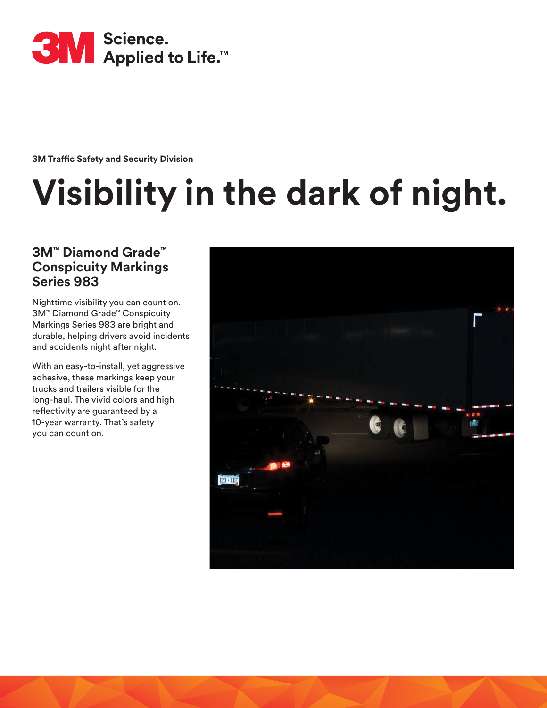

**3M Traffic Safety and Security Division**

# **Visibility in the dark of night.**

#### **3M™ Diamond Grade™ Conspicuity Markings Series 983**

Nighttime visibility you can count on. 3M™ Diamond Grade™ Conspicuity Markings Series 983 are bright and durable, helping drivers avoid incidents and accidents night after night.

With an easy-to-install, yet aggressive adhesive, these markings keep your trucks and trailers visible for the long-haul. The vivid colors and high reflectivity are guaranteed by a 10-year warranty. That's safety you can count on.